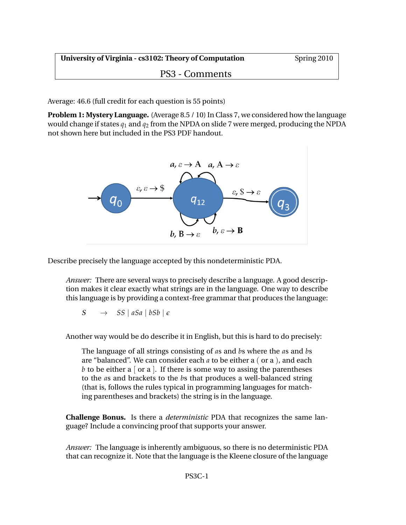PS3 - Comments

Average: 46.6 (full credit for each question is 55 points)

**Problem 1: Mystery Language.** (Average 8.5 / 10) In Class 7, we considered how the language would change if states *q*<sup>1</sup> and *q*<sup>2</sup> from the NPDA on slide 7 were merged, producing the NPDA not shown here but included in the PS3 PDF handout.



Describe precisely the language accepted by this nondeterministic PDA.

*Answer:* There are several ways to precisely describe a language. A good description makes it clear exactly what strings are in the language. One way to describe this language is by providing a context-free grammar that produces the language:

 $S \rightarrow SS \mid aSa \mid bSb \mid \epsilon$ 

Another way would be do describe it in English, but this is hard to do precisely:

The language of all strings consisting of *a*s and *b*s where the *a*s and *b*s are "balanced". We can consider each *a* to be either a ( or a ), and each *b* to be either a  $\lceil$  or a  $\rceil$ . If there is some way to assing the parentheses to the *a*s and brackets to the *b*s that produces a well-balanced string (that is, follows the rules typical in programming languages for matching parentheses and brackets) the string is in the language.

**Challenge Bonus.** Is there a *deterministic* PDA that recognizes the same language? Include a convincing proof that supports your answer.

*Answer:* The language is inherently ambiguous, so there is no deterministic PDA that can recognize it. Note that the language is the Kleene closure of the language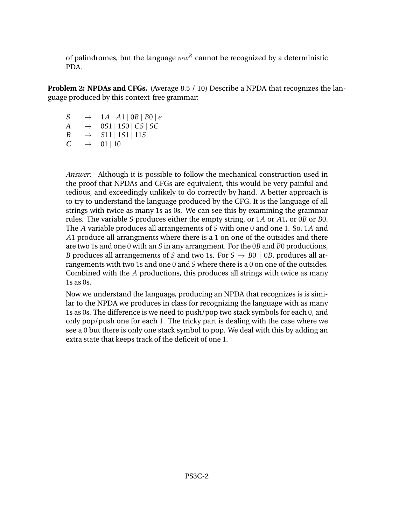of palindromes, but the language  $ww^R$  cannot be recognized by a deterministic PDA.

**Problem 2: NPDAs and CFGs.** (Average 8.5 / 10) Describe a NPDA that recognizes the language produced by this context-free grammar:

- $S \rightarrow 1A | A1 | 0B | B0 | \epsilon$ <br>  $A \rightarrow 0.51 | 1.50 | CS | SC$
- $\rightarrow$  0*S*1 | 1*S*0 | *CS* | *SC*
- $B \rightarrow S11 | 1S1 | 11S$
- $C \rightarrow 01 | 10$

*Answer:* Although it is possible to follow the mechanical construction used in the proof that NPDAs and CFGs are equivalent, this would be very painful and tedious, and exceedingly unlikely to do correctly by hand. A better approach is to try to understand the language produced by the CFG. It is the language of all strings with twice as many 1s as 0s. We can see this by examining the grammar rules. The variable *S* produces either the empty string, or 1*A* or *A*1, or 0*B* or *B*0. The *A* variable produces all arrangements of *S* with one 0 and one 1. So, 1*A* and *A*1 produce all arrangments where there is a 1 on one of the outsides and there are two 1s and one 0 with an *S* in any arrangment. For the 0*B* and *B*0 productions, *B* produces all arrangements of *S* and two 1s. For  $S \rightarrow BO \mid OB$ , produces all arrangements with two 1s and one 0 and *S* where there is a 0 on one of the outsides. Combined with the *A* productions, this produces all strings with twice as many 1s as 0s.

Now we understand the language, producing an NPDA that recognizes is is similar to the NPDA we produces in class for recognizing the language with as many 1s as 0s. The difference is we need to push/pop two stack symbols for each 0, and only pop/push one for each 1. The tricky part is dealing with the case where we see a 0 but there is only one stack symbol to pop. We deal with this by adding an extra state that keeps track of the deficeit of one 1.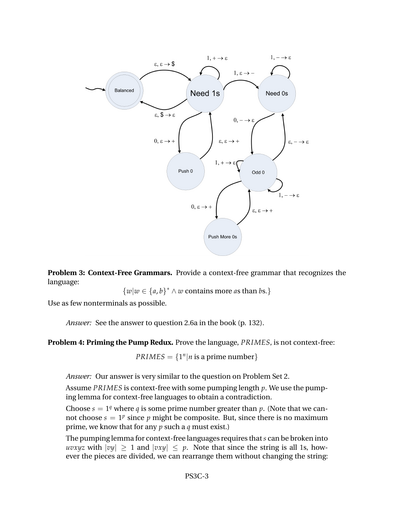

**Problem 3: Context-Free Grammars.** Provide a context-free grammar that recognizes the language:

 $\{w|w \in \{a,b\}^* \land w \text{ contains more as than } bs.\}$ 

Use as few nonterminals as possible.

*Answer:* See the answer to question 2.6a in the book (p. 132).

**Problem 4: Priming the Pump Redux.** Prove the language, *PRIMES*, is not context-free:

 $PRIMES = \{1^n | n \text{ is a prime number}\}$ 

*Answer:* Our answer is very similar to the question on Problem Set 2.

Assume *PRIMES* is context-free with some pumping length *p*. We use the pumping lemma for context-free languages to obtain a contradiction.

Choose  $s = 1<sup>q</sup>$  where *q* is some prime number greater than *p*. (Note that we cannot choose  $s = 1^p$  since  $p$  might be composite. But, since there is no maximum prime, we know that for any *p* such a *q* must exist.)

The pumping lemma for context-free languages requires that*s* can be broken into *uvxyz* with  $|vy| \ge 1$  and  $|vxy| \le p$ . Note that since the string is all 1s, however the pieces are divided, we can rearrange them without changing the string: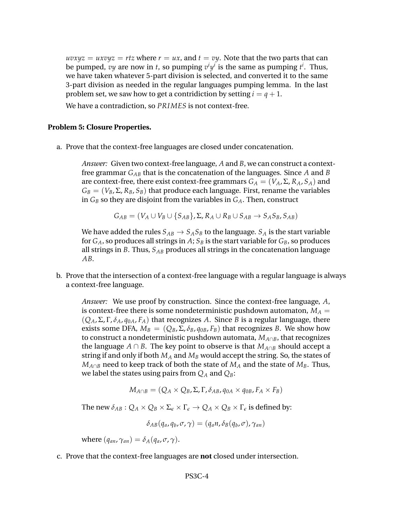$uvxyz = uxvyz = rtz$  where  $r = ux$ , and  $t = vy$ . Note that the two parts that can be pumped, *vy* are now in *t*, so pumping  $v^i y^i$  is the same as pumping  $t^i$ . Thus, we have taken whatever 5-part division is selected, and converted it to the same 3-part division as needed in the regular languages pumping lemma. In the last problem set, we saw how to get a contridiction by setting  $i = q + 1$ .

We have a contradiction, so *PRIMES* is not context-free.

## **Problem 5: Closure Properties.**

a. Prove that the context-free languages are closed under concatenation.

*Answer:* Given two context-free language, *A* and *B*, we can construct a contextfree grammar *GAB* that is the concatenation of the languages. Since *A* and *B* are context-free, there exist context-free grammars  $G_A = (V_A, \Sigma, R_A, S_A)$  and  $G_B = (V_B, \Sigma, R_B, S_B)$  that produce each language. First, rename the variables in  $G_B$  so they are disjoint from the variables in  $G_A$ . Then, construct

$$
G_{AB} = (V_A \cup V_B \cup \{S_{AB}\}, \Sigma, R_A \cup R_B \cup S_{AB} \rightarrow S_A S_B, S_{AB})
$$

We have added the rules  $S_{AB} \rightarrow S_A S_B$  to the language.  $S_A$  is the start variable for  $G_A$ , so produces all strings in A;  $S_B$  is the start variable for  $G_B$ , so produces all strings in *B*. Thus, *SAB* produces all strings in the concatenation language *AB*.

b. Prove that the intersection of a context-free language with a regular language is always a context-free language.

*Answer:* We use proof by construction. Since the context-free language, *A*, is context-free there is some nondeterministic pushdown automaton,  $M_A =$  $(Q_A, \Sigma, \Gamma, \delta_A, q_{0A}, F_A)$  that recognizes *A*. Since *B* is a regular language, there exists some DFA,  $M_B = (Q_B, \Sigma, \delta_B, q_{0B}, F_B)$  that recognizes *B*. We show how to construct a nondeterministic pushdown automata, *MA*∩*B*, that recognizes the language *A* ∩ *B*. The key point to observe is that  $M_{A \cap B}$  should accept a string if and only if both *M<sup>A</sup>* and *M<sup>B</sup>* would accept the string. So, the states of  $M_{A \cap B}$  need to keep track of both the state of  $M_A$  and the state of  $M_B$ . Thus, we label the states using pairs from  $Q_A$  and  $Q_B$ :

$$
M_{A \cap B} = (Q_A \times Q_B, \Sigma, \Gamma, \delta_{AB}, q_{0A} \times q_{0B}, F_A \times F_B)
$$

The new  $\delta_{AB}: Q_A \times Q_B \times \Sigma_{\epsilon} \times \Gamma_{\epsilon} \to Q_A \times Q_B \times \Gamma_{\epsilon}$  is defined by:

$$
\delta_{AB}(q_a,q_b,\sigma,\gamma)=(q_a n,\delta_B(q_b,\sigma),\gamma_{an})
$$

where  $(q_{an}, \gamma_{an}) = \delta_A(q_a, \sigma, \gamma)$ .

c. Prove that the context-free languages are **not** closed under intersection.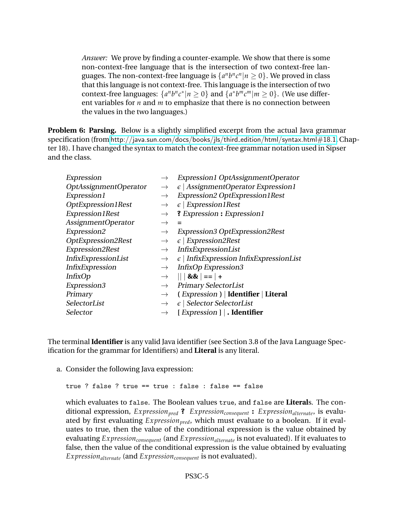*Answer:* We prove by finding a counter-example. We show that there is some non-context-free language that is the intersection of two context-free languages. The non-context-free language is  $\{a^n b^n c^n | n \ge 0\}$ . We proved in class that this language is not context-free. This language is the intersection of two context-free languages:  $\{a^n b^n c^* | n \ge 0\}$  and  $\{a^* b^m c^m | m \ge 0\}$ . (We use different variables for *n* and *m* to emphasize that there is no connection between the values in the two languages.)

**Problem 6: Parsing.** Below is a slightly simplified excerpt from the actual Java grammar specification (from [http://java.sun.com/docs/books/jls/third](http://java.sun.com/docs/books/jls/third_edition/html/syntax.html#18.1) edition/html/syntax.html#18.1, Chapter 18). I have changed the syntax to match the context-free grammar notation used in Sipser and the class.

| Expression             | $\rightarrow$ | Expression1 OptAssignmentOperator                        |
|------------------------|---------------|----------------------------------------------------------|
| OptAssignmentOperator  | $\rightarrow$ | $\epsilon$   AssignmentOperator Expression1              |
| Expression1            | $\rightarrow$ | Expression2 OptExpression1Rest                           |
| OptExpression1Rest     | $\rightarrow$ | $\epsilon$   Expression1Rest                             |
| Expression1Rest        | $\rightarrow$ | ? Expression : Expression1                               |
| AssignmentOperator     | $\rightarrow$ |                                                          |
| Expression2            | $\rightarrow$ | <b>Expression3 OptExpression2Rest</b>                    |
| OptExpression2Rest     | $\rightarrow$ | $\epsilon$   Expression2Rest                             |
| Expression2Rest        | $\rightarrow$ | InfixExpressionList                                      |
| InfixExpressionList    | $\rightarrow$ | $\epsilon$   InfixExpression InfixExpressionList         |
| <b>InfixExpression</b> | $\rightarrow$ | InfixOp Expression3                                      |
| <b>InfixOp</b>         | $\rightarrow$ | $   &88  ==   +$                                         |
| Expression3            | $\rightarrow$ | <b>Primary SelectorList</b>                              |
| Primary                | $\rightarrow$ | (Expression)   Identifier   Literal                      |
| SelectorList           | $\rightarrow$ | $\epsilon$   Selector Selector List                      |
| Selector               | $\rightarrow$ | [ <i>Expression</i> $\vert \cdot \vert$ <b>dentifier</b> |

The terminal **Identifier** is any valid Java identifier (see Section 3.8 of the Java Language Specification for the grammar for Identifiers) and **Literal** is any literal.

a. Consider the following Java expression:

```
true ? false ? true == true : false : false == false
```
which evaluates to false. The Boolean values true, and false are **Literal**s. The conditional expression, *Expressionpred* **?** *Expressionconsequent* **:** *Expressionalternate*, is evaluated by first evaluating *Expressionpred*, which must evaluate to a boolean. If it evaluates to true, then the value of the conditional expression is the value obtained by evaluating *Expressionconsequent* (and *Expressionalternate* is not evaluated). If it evaluates to false, then the value of the conditional expression is the value obtained by evaluating *Expressionalternate* (and *Expressionconsequent* is not evaluated).